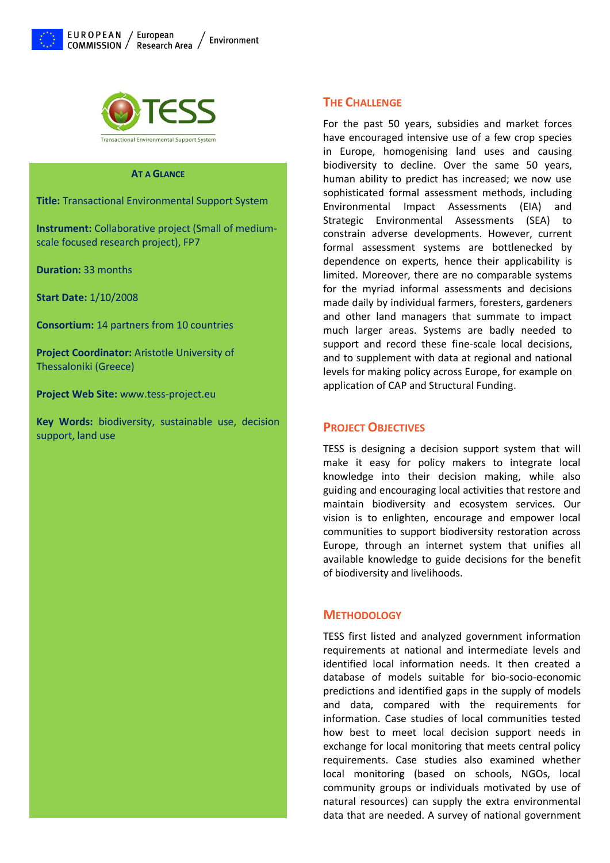



#### **AT A GLANCE**

**Title:** Transactional Environmental Support System

**Instrument:** Collaborative project (Small of mediumscale focused research project), FP7

**Duration:** 33 months

**Start Date:** 1/10/2008

**Consortium:** 14 partners from 10 countries

**Project Coordinator:** Aristotle University of Thessaloniki (Greece)

**Project Web Site:** www.tess-project.eu

**Key Words:** biodiversity, sustainable use, decision support, land use

## **THE CHALLENGE**

For the past 50 years, subsidies and market forces have encouraged intensive use of a few crop species in Europe, homogenising land uses and causing biodiversity to decline. Over the same 50 years, human ability to predict has increased; we now use sophisticated formal assessment methods, including Environmental Impact Assessments (EIA) and Strategic Environmental Assessments (SEA) to constrain adverse developments. However, current formal assessment systems are bottlenecked by dependence on experts, hence their applicability is limited. Moreover, there are no comparable systems for the myriad informal assessments and decisions made daily by individual farmers, foresters, gardeners and other land managers that summate to impact much larger areas. Systems are badly needed to support and record these fine-scale local decisions, and to supplement with data at regional and national levels for making policy across Europe, for example on application of CAP and Structural Funding.

### **PROJECT OBJECTIVES**

TESS is designing a decision support system that will make it easy for policy makers to integrate local knowledge into their decision making, while also guiding and encouraging local activities that restore and maintain biodiversity and ecosystem services. Our vision is to enlighten, encourage and empower local communities to support biodiversity restoration across Europe, through an internet system that unifies all available knowledge to guide decisions for the benefit of biodiversity and livelihoods.

## **METHODOLOGY**

TESS first listed and analyzed government information requirements at national and intermediate levels and identified local information needs. It then created a database of models suitable for bio-socio-economic predictions and identified gaps in the supply of models and data, compared with the requirements for information. Case studies of local communities tested how best to meet local decision support needs in exchange for local monitoring that meets central policy requirements. Case studies also examined whether local monitoring (based on schools, NGOs, local community groups or individuals motivated by use of natural resources) can supply the extra environmental data that are needed. A survey of national government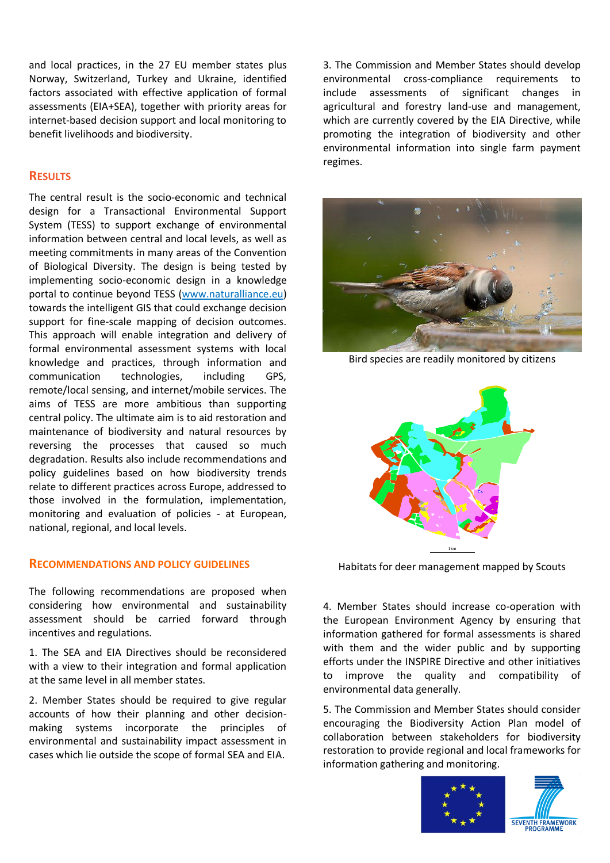and local practices, in the 27 EU member states plus Norway, Switzerland, Turkey and Ukraine, identified factors associated with effective application of formal assessments (EIA+SEA), together with priority areas for internet-based decision support and local monitoring to benefit livelihoods and biodiversity.

## **RESULTS**

The central result is the socio-economic and technical design for a Transactional Environmental Support System (TESS) to support exchange of environmental information between central and local levels, as well as meeting commitments in many areas of the Convention of Biological Diversity. The design is being tested by implementing socio-economic design in a knowledge portal to continue beyond TESS (www.naturalliance.eu) towards the intelligent GIS that could exchange decision support for fine-scale mapping of decision outcomes. This approach will enable integration and delivery of formal environmental assessment systems with local knowledge and practices, through information and communication technologies, including GPS, remote/local sensing, and internet/mobile services. The aims of TESS are more ambitious than supporting central policy. The ultimate aim is to aid restoration and maintenance of biodiversity and natural resources by reversing the processes that caused so much degradation. Results also include recommendations and policy guidelines based on how biodiversity trends relate to different practices across Europe, addressed to those involved in the formulation, implementation, monitoring and evaluation of policies - at European, national, regional, and local levels.

#### **RECOMMENDATIONS AND POLICY GUIDELINES**

The following recommendations are proposed when considering how environmental and sustainability assessment should be carried forward through incentives and regulations.

1. The SEA and EIA Directives should be reconsidered with a view to their integration and formal application at the same level in all member states.

2. Member States should be required to give regular accounts of how their planning and other decisionmaking systems incorporate the principles of environmental and sustainability impact assessment in cases which lie outside the scope of formal SEA and EIA.

3. The Commission and Member States should develop environmental cross-compliance requirements to include assessments of significant changes in agricultural and forestry land-use and management, which are currently covered by the EIA Directive, while promoting the integration of biodiversity and other environmental information into single farm payment regimes.



Bird species are readily monitored by citizens



Habitats for deer management mapped by Scouts

4. Member States should increase co-operation with the European Environment Agency by ensuring that information gathered for formal assessments is shared with them and the wider public and by supporting efforts under the INSPIRE Directive and other initiatives to improve the quality and compatibility of environmental data generally.

5. The Commission and Member States should consider encouraging the Biodiversity Action Plan model of collaboration between stakeholders for biodiversity restoration to provide regional and local frameworks for information gathering and monitoring.

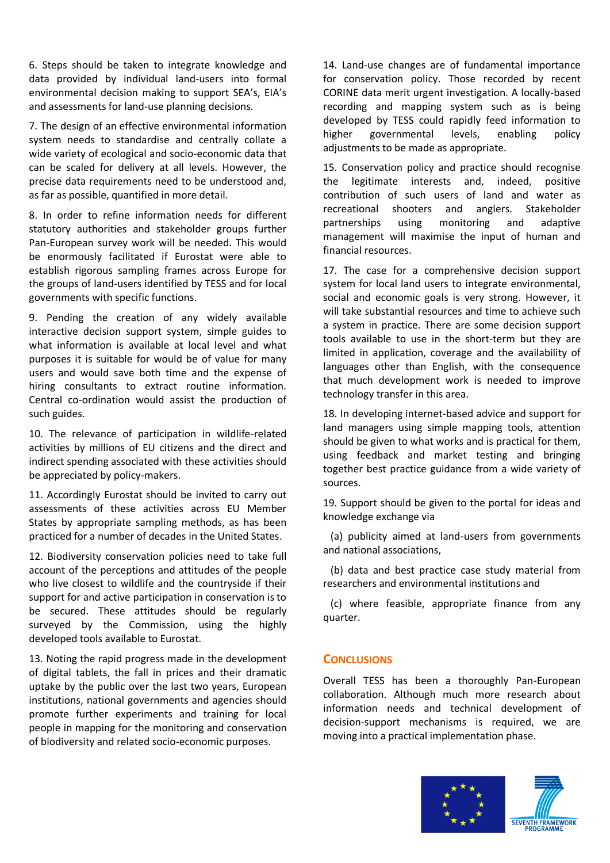6. Steps should be taken to integrate knowledge and data provided by individual land-users into formal environmental decision making to support SEA's, EIA's and assessments for land-use planning decisions.

7. The design of an effective environmental information system needs to standardise and centrally collate a wide variety of ecological and socio-economic data that can be scaled for delivery at all levels. However, the precise data requirements need to be understood and, as far as possible, quantified in more detail.

8. In order to refine information needs for different statutory authorities and stakeholder groups further Pan-European survey work will be needed. This would be enormously facilitated if Eurostat were able to establish rigorous sampling frames across Europe for the groups of land-users identified by TESS and for local governments with specific functions.

9. Pending the creation of any widely available interactive decision support system, simple guides to what information is available at local level and what purposes it is suitable for would be of value for many users and would save both time and the expense of hiring consultants to extract routine information. Central co-ordination would assist the production of such guides.

10. The relevance of participation in wildlife-related activities by millions of EU citizens and the direct and indirect spending associated with these activities should be appreciated by policy-makers.

11. Accordingly Eurostat should be invited to carry out assessments of these activities across EU Member States by appropriate sampling methods, as has been practiced for a number of decades in the United States.

12. Biodiversity conservation policies need to take full account of the perceptions and attitudes of the people who live closest to wildlife and the countryside if their support for and active participation in conservation is to be secured. These attitudes should be regularly surveyed by the Commission, using the highly developed tools available to Eurostat.

13. Noting the rapid progress made in the development of digital tablets, the fall in prices and their dramatic uptake by the public over the last two years, European institutions, national governments and agencies should promote further experiments and training for local people in mapping for the monitoring and conservation of biodiversity and related socio-economic purposes.

14. Land-use changes are of fundamental importance for conservation policy. Those recorded by recent CORINE data merit urgent investigation. A locally-based recording and mapping system such as is being developed by TESS could rapidly feed information to higher governmental levels, enabling policy adjustments to be made as appropriate.

15. Conservation policy and practice should recognise the legitimate interests and, indeed, positive contribution of such users of land and water as recreational shooters and anglers. Stakeholder partnerships using monitoring and adaptive management will maximise the input of human and financial resources.

17. The case for a comprehensive decision support system for local land users to integrate environmental, social and economic goals is very strong. However, it will take substantial resources and time to achieve such a system in practice. There are some decision support tools available to use in the short-term but they are limited in application, coverage and the availability of languages other than English, with the consequence that much development work is needed to improve technology transfer in this area.

18. In developing internet-based advice and support for land managers using simple mapping tools, attention should be given to what works and is practical for them, using feedback and market testing and bringing together best practice guidance from a wide variety of sources.

19. Support should be given to the portal for ideas and knowledge exchange via

 (a) publicity aimed at land-users from governments and national associations,

 (b) data and best practice case study material from researchers and environmental institutions and

 (c) where feasible, appropriate finance from any quarter.

# **CONCLUSIONS**

Overall TESS has been a thoroughly Pan-European collaboration. Although much more research about information needs and technical development of decision-support mechanisms is required, we are moving into a practical implementation phase.